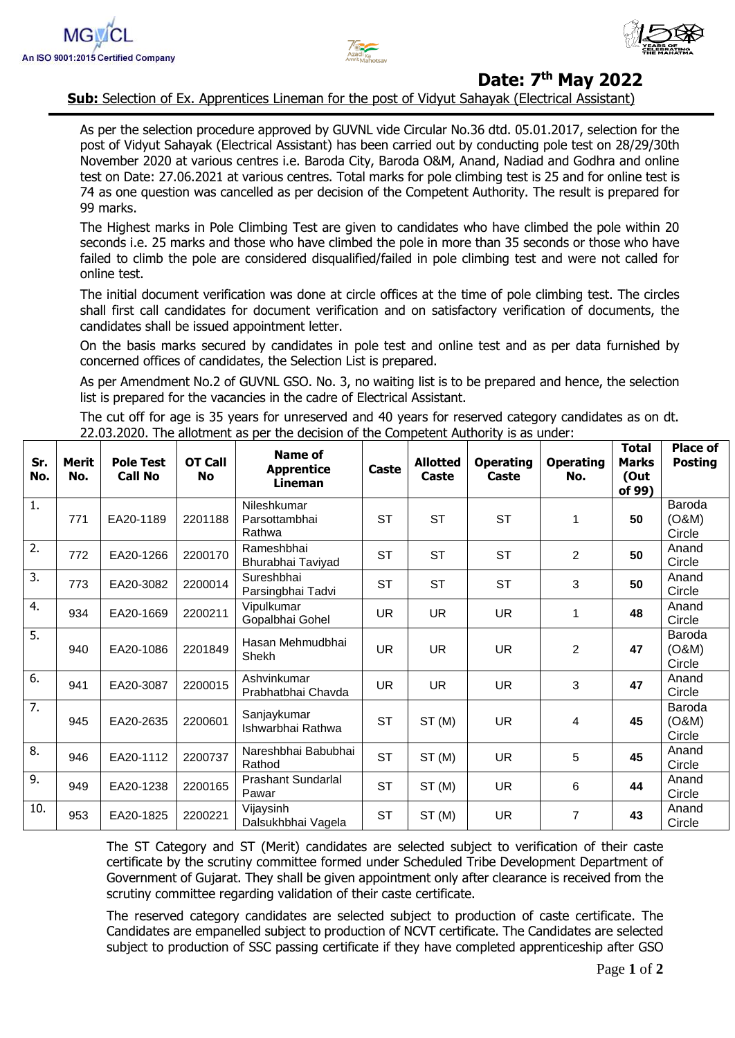



## **Date: 7 th May 2022**

**Sub:** Selection of Ex. Apprentices Lineman for the post of Vidyut Sahayak (Electrical Assistant)

As per the selection procedure approved by GUVNL vide Circular No.36 dtd. 05.01.2017, selection for the post of Vidyut Sahayak (Electrical Assistant) has been carried out by conducting pole test on 28/29/30th November 2020 at various centres i.e. Baroda City, Baroda O&M, Anand, Nadiad and Godhra and online test on Date: 27.06.2021 at various centres. Total marks for pole climbing test is 25 and for online test is 74 as one question was cancelled as per decision of the Competent Authority. The result is prepared for 99 marks.

The Highest marks in Pole Climbing Test are given to candidates who have climbed the pole within 20 seconds i.e. 25 marks and those who have climbed the pole in more than 35 seconds or those who have failed to climb the pole are considered disqualified/failed in pole climbing test and were not called for online test.

The initial document verification was done at circle offices at the time of pole climbing test. The circles shall first call candidates for document verification and on satisfactory verification of documents, the candidates shall be issued appointment letter.

On the basis marks secured by candidates in pole test and online test and as per data furnished by concerned offices of candidates, the Selection List is prepared.

As per Amendment No.2 of GUVNL GSO. No. 3, no waiting list is to be prepared and hence, the selection list is prepared for the vacancies in the cadre of Electrical Assistant.

The cut off for age is 35 years for unreserved and 40 years for reserved category candidates as on dt. 22.03.2020. The allotment as per the decision of the Competent Authority is as under:

| Sr.<br>No.       | <b>Merit</b><br>No. | <b>Pole Test</b><br><b>Call No</b> | <b>OT Call</b><br><b>No</b> | Name of<br><b>Apprentice</b><br>Lineman | Caste     | <b>Allotted</b><br>Caste | <b>Operating</b><br>Caste | <b>Operating</b><br>No. | <b>Total</b><br><b>Marks</b><br>(Out<br>of 99) | <b>Place of</b><br><b>Posting</b> |
|------------------|---------------------|------------------------------------|-----------------------------|-----------------------------------------|-----------|--------------------------|---------------------------|-------------------------|------------------------------------------------|-----------------------------------|
| 1.               | 771                 | EA20-1189                          | 2201188                     | Nileshkumar<br>Parsottambhai<br>Rathwa  | <b>ST</b> | <b>ST</b>                | <b>ST</b>                 | 1                       | 50                                             | Baroda<br>(0&M)<br>Circle         |
| 2.               | 772                 | EA20-1266                          | 2200170                     | Rameshbhai<br>Bhurabhai Taviyad         | <b>ST</b> | <b>ST</b>                | <b>ST</b>                 | $\overline{2}$          | 50                                             | Anand<br>Circle                   |
| 3.               | 773                 | EA20-3082                          | 2200014                     | Sureshbhai<br>Parsingbhai Tadvi         | <b>ST</b> | <b>ST</b>                | <b>ST</b>                 | 3                       | 50                                             | Anand<br>Circle                   |
| 4.               | 934                 | EA20-1669                          | 2200211                     | Vipulkumar<br>Gopalbhai Gohel           | <b>UR</b> | <b>UR</b>                | <b>UR</b>                 | 1                       | 48                                             | Anand<br>Circle                   |
| $\overline{5}$ . | 940                 | EA20-1086                          | 2201849                     | Hasan Mehmudbhai<br>Shekh               | <b>UR</b> | <b>UR</b>                | <b>UR</b>                 | $\overline{2}$          | 47                                             | Baroda<br>(0&M)<br>Circle         |
| 6.               | 941                 | EA20-3087                          | 2200015                     | Ashvinkumar<br>Prabhatbhai Chavda       | <b>UR</b> | <b>UR</b>                | <b>UR</b>                 | 3                       | 47                                             | Anand<br>Circle                   |
| 7.               | 945                 | EA20-2635                          | 2200601                     | Sanjaykumar<br>Ishwarbhai Rathwa        | <b>ST</b> | ST(M)                    | <b>UR</b>                 | 4                       | 45                                             | Baroda<br>(O&M)<br>Circle         |
| 8.               | 946                 | EA20-1112                          | 2200737                     | Nareshbhai Babubhai<br>Rathod           | <b>ST</b> | ST(M)                    | <b>UR</b>                 | 5                       | 45                                             | Anand<br>Circle                   |
| 9.               | 949                 | EA20-1238                          | 2200165                     | Prashant Sundarlal<br>Pawar             | <b>ST</b> | ST(M)                    | <b>UR</b>                 | 6                       | 44                                             | Anand<br>Circle                   |
| 10.              | 953                 | EA20-1825                          | 2200221                     | Vijaysinh<br>Dalsukhbhai Vagela         | <b>ST</b> | ST(M)                    | <b>UR</b>                 | 7                       | 43                                             | Anand<br>Circle                   |

The ST Category and ST (Merit) candidates are selected subject to verification of their caste certificate by the scrutiny committee formed under Scheduled Tribe Development Department of Government of Gujarat. They shall be given appointment only after clearance is received from the scrutiny committee regarding validation of their caste certificate.

The reserved category candidates are selected subject to production of caste certificate. The Candidates are empanelled subject to production of NCVT certificate. The Candidates are selected subject to production of SSC passing certificate if they have completed apprenticeship after GSO